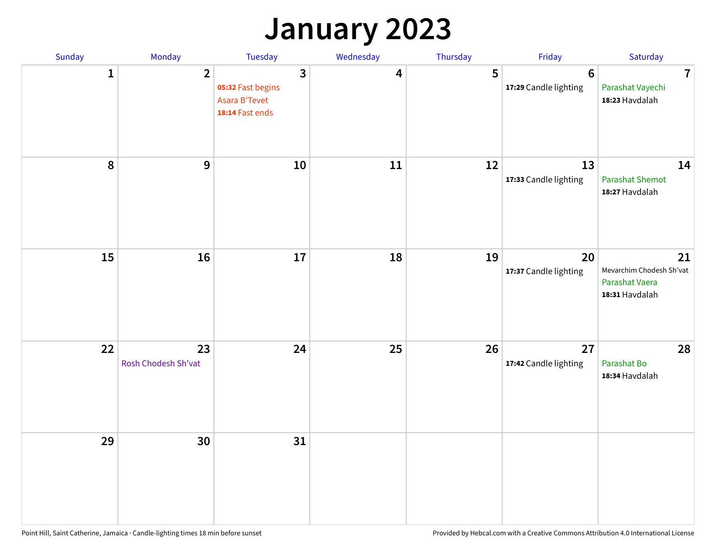### **January 2023**

| Sunday       | Monday                    | Tuesday                                                                      | Wednesday | Thursday | Friday                                   | Saturday                                                           |
|--------------|---------------------------|------------------------------------------------------------------------------|-----------|----------|------------------------------------------|--------------------------------------------------------------------|
| $\mathbf{1}$ | $\overline{2}$            | $\mathbf{3}$<br>05:32 Fast begins<br><b>Asara B'Tevet</b><br>18:14 Fast ends | 4         | 5        | $6\phantom{1}6$<br>17:29 Candle lighting | $\overline{7}$<br>Parashat Vayechi<br>18:23 Havdalah               |
| $\pmb{8}$    | $\boldsymbol{9}$          | 10                                                                           | 11        | 12       | 13<br>17:33 Candle lighting              | 14<br><b>Parashat Shemot</b><br>18:27 Havdalah                     |
| 15           | 16                        | 17                                                                           | 18        | 19       | 20<br>17:37 Candle lighting              | 21<br>Mevarchim Chodesh Sh'vat<br>Parashat Vaera<br>18:31 Havdalah |
| 22           | 23<br>Rosh Chodesh Sh'vat | 24                                                                           | 25        | 26       | 27<br>17:42 Candle lighting              | 28<br>Parashat Bo<br>18:34 Havdalah                                |
| 29           | 30                        | 31                                                                           |           |          |                                          |                                                                    |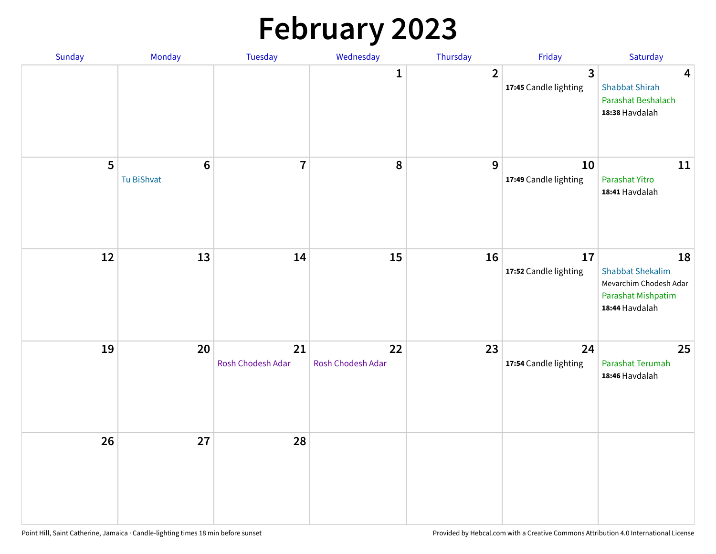# **February 2023**

| Sunday | Monday                        | Tuesday                 | Wednesday               | Thursday       | Friday                                  | Saturday                                                                                        |
|--------|-------------------------------|-------------------------|-------------------------|----------------|-----------------------------------------|-------------------------------------------------------------------------------------------------|
|        |                               |                         | 1                       | $\overline{2}$ | $\overline{3}$<br>17:45 Candle lighting | $\overline{\mathbf{4}}$<br><b>Shabbat Shirah</b><br>Parashat Beshalach<br>18:38 Havdalah        |
| 5      | $6\phantom{1}6$<br>Tu BiShvat | $\overline{7}$          | 8                       | 9              | 10<br>17:49 Candle lighting             | 11<br>Parashat Yitro<br>18:41 Havdalah                                                          |
| 12     | 13                            | 14                      | 15                      | 16             | 17<br>17:52 Candle lighting             | 18<br><b>Shabbat Shekalim</b><br>Mevarchim Chodesh Adar<br>Parashat Mishpatim<br>18:44 Havdalah |
| 19     | 20                            | 21<br>Rosh Chodesh Adar | 22<br>Rosh Chodesh Adar | 23             | 24<br>17:54 Candle lighting             | 25<br>Parashat Terumah<br>18:46 Havdalah                                                        |
| 26     | 27                            | 28                      |                         |                |                                         |                                                                                                 |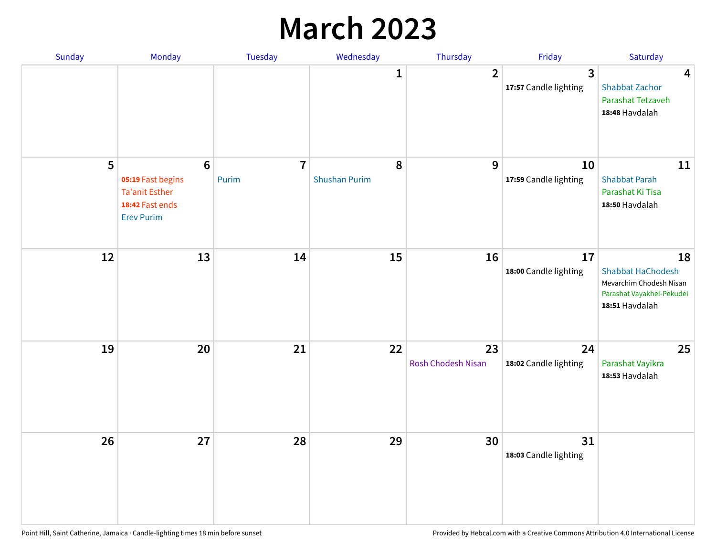### **March 2023**

| Sunday | Monday                                                                                                | Tuesday                 | Wednesday                 | Thursday                        | Friday                      | Saturday                                                                                                 |
|--------|-------------------------------------------------------------------------------------------------------|-------------------------|---------------------------|---------------------------------|-----------------------------|----------------------------------------------------------------------------------------------------------|
|        |                                                                                                       |                         | 1                         | $\overline{2}$                  | 3<br>17:57 Candle lighting  | 4<br><b>Shabbat Zachor</b><br>Parashat Tetzaveh<br>18:48 Havdalah                                        |
| 5      | $6\phantom{1}6$<br>05:19 Fast begins<br><b>Ta'anit Esther</b><br>18:42 Fast ends<br><b>Erev Purim</b> | $\overline{7}$<br>Purim | 8<br><b>Shushan Purim</b> | 9                               | 10<br>17:59 Candle lighting | 11<br><b>Shabbat Parah</b><br>Parashat Ki Tisa<br>18:50 Havdalah                                         |
| 12     | 13                                                                                                    | 14                      | 15                        | 16                              | 17<br>18:00 Candle lighting | 18<br><b>Shabbat HaChodesh</b><br>Mevarchim Chodesh Nisan<br>Parashat Vayakhel-Pekudei<br>18:51 Havdalah |
| 19     | 20                                                                                                    | 21                      | 22                        | 23<br><b>Rosh Chodesh Nisan</b> | 24<br>18:02 Candle lighting | 25<br>Parashat Vayikra<br>18:53 Havdalah                                                                 |
| 26     | 27                                                                                                    | 28                      | 29                        | 30                              | 31<br>18:03 Candle lighting |                                                                                                          |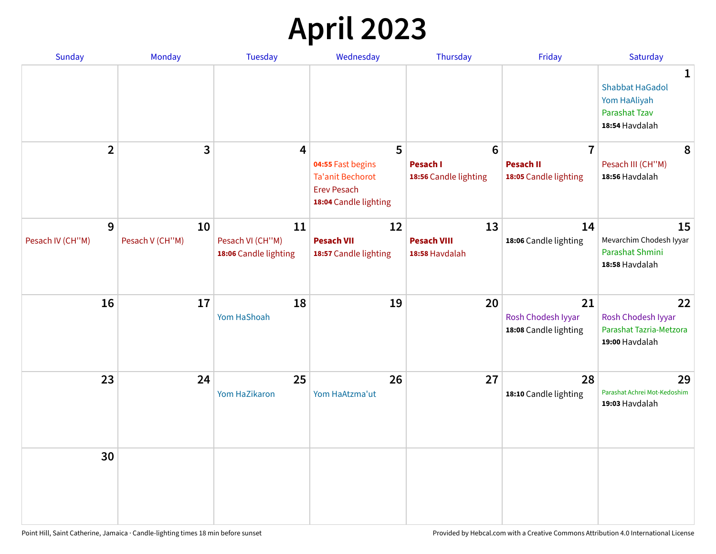## **April 2023**

| Sunday                | Monday                | <b>Tuesday</b>         | Wednesday                                                              | Thursday                           | Friday                                            | Saturday                                                                              |
|-----------------------|-----------------------|------------------------|------------------------------------------------------------------------|------------------------------------|---------------------------------------------------|---------------------------------------------------------------------------------------|
|                       |                       |                        |                                                                        |                                    |                                                   | 1<br><b>Shabbat HaGadol</b><br>Yom HaAliyah<br><b>Parashat Tzav</b><br>18:54 Havdalah |
| $\overline{2}$        | 3                     | 4                      | 5<br>04:55 Fast begins                                                 | $6\phantom{1}6$<br><b>Pesach I</b> | $\overline{7}$<br><b>Pesach II</b>                | 8<br>Pesach III (CH"M)                                                                |
|                       |                       |                        | <b>Ta'anit Bechorot</b><br><b>Erev Pesach</b><br>18:04 Candle lighting | 18:56 Candle lighting              | 18:05 Candle lighting                             | 18:56 Havdalah                                                                        |
| 9<br>Pesach IV (CH"M) | 10<br>Pesach V (CH"M) | 11<br>Pesach VI (CH"M) | 12<br><b>Pesach VII</b>                                                | 13<br><b>Pesach VIII</b>           | 14<br>18:06 Candle lighting                       | 15<br>Mevarchim Chodesh Iyyar                                                         |
|                       |                       | 18:06 Candle lighting  | 18:57 Candle lighting                                                  | 18:58 Havdalah                     |                                                   | Parashat Shmini<br>18:58 Havdalah                                                     |
| 16                    | 17                    | 18<br>Yom HaShoah      | 19                                                                     | 20                                 | 21<br>Rosh Chodesh Iyyar<br>18:08 Candle lighting | 22<br>Rosh Chodesh Iyyar<br>Parashat Tazria-Metzora<br>19:00 Havdalah                 |
| 23                    | 24                    | 25<br>Yom HaZikaron    | 26<br>Yom HaAtzma'ut                                                   | 27                                 | 28<br>18:10 Candle lighting                       | 29<br>Parashat Achrei Mot-Kedoshim<br>19:03 Havdalah                                  |
| 30                    |                       |                        |                                                                        |                                    |                                                   |                                                                                       |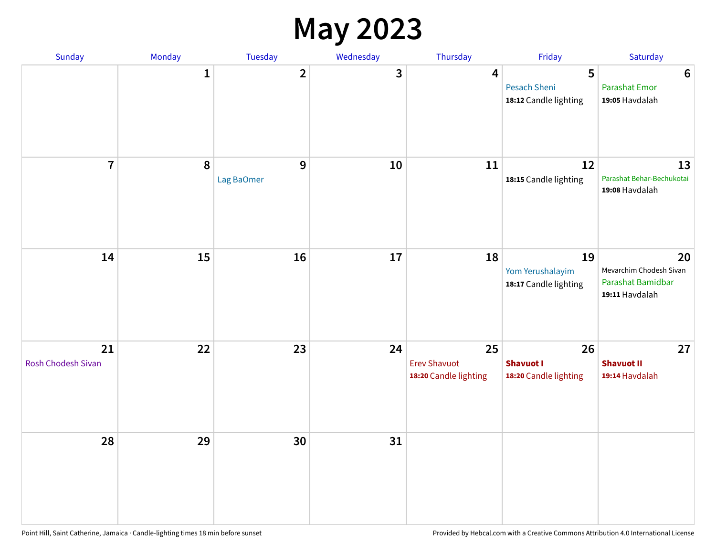#### **May 2023**

| Sunday                   | Monday       | Tuesday                        | Wednesday | Thursday                                           | Friday                                            | Saturday                                                             |
|--------------------------|--------------|--------------------------------|-----------|----------------------------------------------------|---------------------------------------------------|----------------------------------------------------------------------|
|                          | $\mathbf{1}$ | $\overline{\mathbf{2}}$        | 3         | $\overline{\mathbf{4}}$                            | 5<br><b>Pesach Sheni</b><br>18:12 Candle lighting | $\boldsymbol{6}$<br><b>Parashat Emor</b><br>19:05 Havdalah           |
| $\overline{7}$           | $\pmb{8}$    | $\boldsymbol{9}$<br>Lag BaOmer | 10        | 11                                                 | 12<br>18:15 Candle lighting                       | 13<br>Parashat Behar-Bechukotai<br>19:08 Havdalah                    |
| 14                       | 15           | 16                             | 17        | 18                                                 | 19<br>Yom Yerushalayim<br>18:17 Candle lighting   | 20<br>Mevarchim Chodesh Sivan<br>Parashat Bamidbar<br>19:11 Havdalah |
| 21<br>Rosh Chodesh Sivan | 22           | 23                             | 24        | 25<br><b>Erev Shavuot</b><br>18:20 Candle lighting | 26<br><b>Shavuot I</b><br>18:20 Candle lighting   | 27<br><b>Shavuot II</b><br>19:14 Havdalah                            |
| 28                       | 29           | 30                             | 31        |                                                    |                                                   |                                                                      |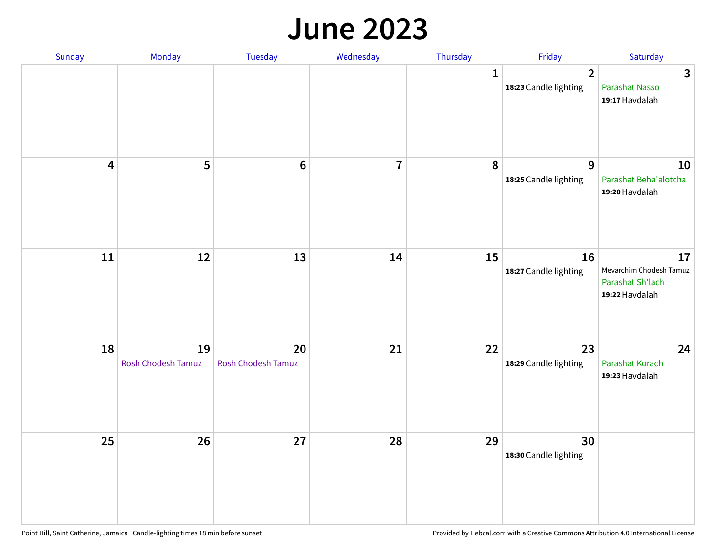#### **June 2023**

| Sunday                  | Monday                   | Tuesday                         | Wednesday      | Thursday     | Friday                                  | Saturday                                                            |
|-------------------------|--------------------------|---------------------------------|----------------|--------------|-----------------------------------------|---------------------------------------------------------------------|
|                         |                          |                                 |                | $\mathbf{1}$ | $\overline{2}$<br>18:23 Candle lighting | $\overline{3}$<br>Parashat Nasso<br>19:17 Havdalah                  |
| $\overline{\mathbf{4}}$ | 5                        | $\bf 6$                         | $\overline{7}$ | 8            | 9<br>18:25 Candle lighting              | 10<br>Parashat Beha'alotcha<br>19:20 Havdalah                       |
| $11\,$                  | 12                       | 13                              | 14             | 15           | 16<br>18:27 Candle lighting             | 17<br>Mevarchim Chodesh Tamuz<br>Parashat Sh'lach<br>19:22 Havdalah |
| 18                      | 19<br>Rosh Chodesh Tamuz | 20<br><b>Rosh Chodesh Tamuz</b> | 21             | 22           | 23<br>18:29 Candle lighting             | 24<br>Parashat Korach<br>19:23 Havdalah                             |
| 25                      | 26                       | 27                              | 28             | 29           | 30<br>18:30 Candle lighting             |                                                                     |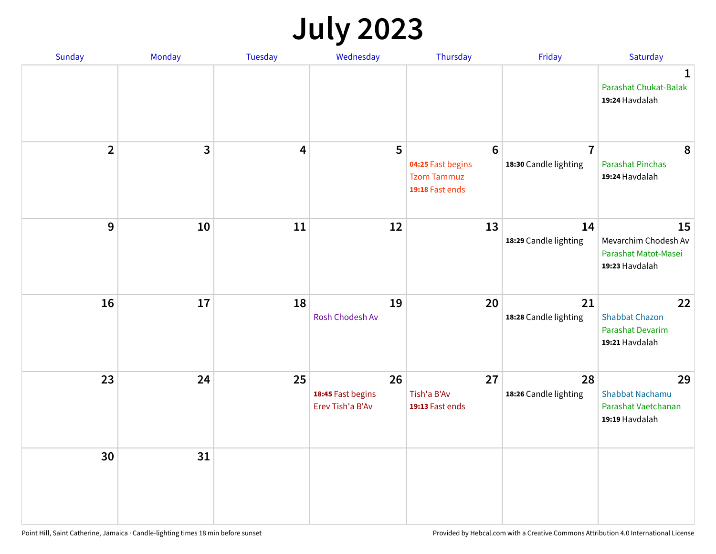## **July 2023**

| Sunday         | Monday       | <b>Tuesday</b> | Wednesday                                   | Thursday                                                                      | Friday                                  | Saturday                                                             |
|----------------|--------------|----------------|---------------------------------------------|-------------------------------------------------------------------------------|-----------------------------------------|----------------------------------------------------------------------|
|                |              |                |                                             |                                                                               |                                         | $\mathbf 1$<br>Parashat Chukat-Balak<br>19:24 Havdalah               |
| $\overline{2}$ | $\mathbf{3}$ | 4              | 5                                           | $6\phantom{1}6$<br>04:25 Fast begins<br><b>Tzom Tammuz</b><br>19:18 Fast ends | $\overline{7}$<br>18:30 Candle lighting | 8<br><b>Parashat Pinchas</b><br>19:24 Havdalah                       |
| 9              | 10           | 11             | 12                                          | 13                                                                            | 14<br>18:29 Candle lighting             | 15<br>Mevarchim Chodesh Av<br>Parashat Matot-Masei<br>19:23 Havdalah |
| 16             | 17           | 18             | 19<br>Rosh Chodesh Av                       | 20                                                                            | 21<br>18:28 Candle lighting             | 22<br><b>Shabbat Chazon</b><br>Parashat Devarim<br>19:21 Havdalah    |
| 23             | 24           | 25             | 26<br>18:45 Fast begins<br>Erev Tish'a B'Av | 27<br>Tish'a B'Av<br>19:13 Fast ends                                          | 28<br>18:26 Candle lighting             | 29<br>Shabbat Nachamu<br>Parashat Vaetchanan<br>19:19 Havdalah       |
| 30             | 31           |                |                                             |                                                                               |                                         |                                                                      |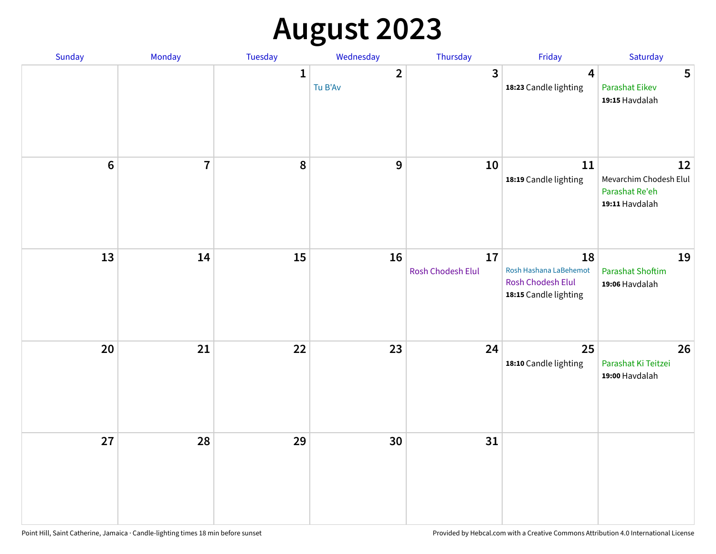# **August 2023**

| Sunday | Monday         | Tuesday      | Wednesday                          | Thursday                | Friday                                                                            | Saturday                                                         |
|--------|----------------|--------------|------------------------------------|-------------------------|-----------------------------------------------------------------------------------|------------------------------------------------------------------|
|        |                | $\mathbf{1}$ | $\overline{\mathbf{2}}$<br>Tu B'Av | 3                       | $\overline{4}$<br>18:23 Candle lighting                                           | 5<br><b>Parashat Eikev</b><br>19:15 Havdalah                     |
| $6\,$  | $\overline{7}$ | 8            | 9                                  | 10                      | 11<br>18:19 Candle lighting                                                       | 12<br>Mevarchim Chodesh Elul<br>Parashat Re'eh<br>19:11 Havdalah |
| 13     | 14             | 15           | 16                                 | 17<br>Rosh Chodesh Elul | 18<br>Rosh Hashana LaBehemot<br><b>Rosh Chodesh Elul</b><br>18:15 Candle lighting | 19<br><b>Parashat Shoftim</b><br>19:06 Havdalah                  |
| 20     | 21             | 22           | 23                                 | 24                      | 25<br>18:10 Candle lighting                                                       | 26<br>Parashat Ki Teitzei<br>19:00 Havdalah                      |
| 27     | 28             | 29           | 30                                 | 31                      |                                                                                   |                                                                  |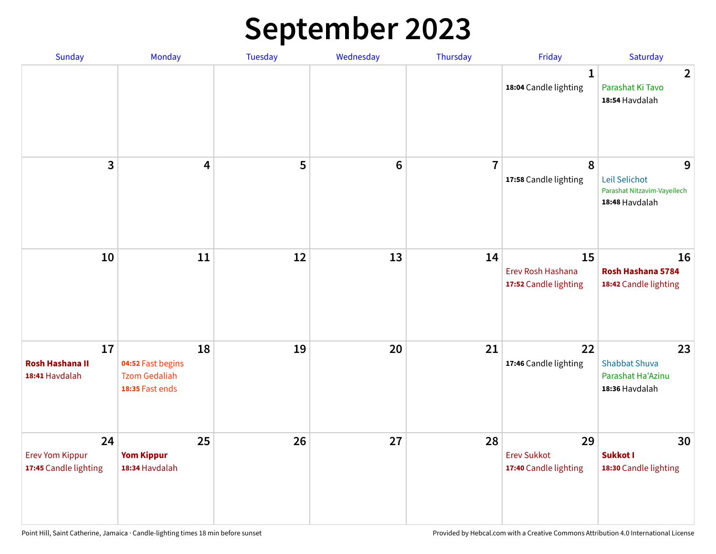## **September 2023**

| Sunday                                                | Monday                                                             | Tuesday | Wednesday      | Thursday       | Friday                                            | Saturday                                                            |
|-------------------------------------------------------|--------------------------------------------------------------------|---------|----------------|----------------|---------------------------------------------------|---------------------------------------------------------------------|
|                                                       |                                                                    |         |                |                | 1<br>18:04 Candle lighting                        | $\overline{2}$<br>Parashat Ki Tavo<br>18:54 Havdalah                |
| 3                                                     | $\overline{\mathbf{4}}$                                            | 5       | $6\phantom{1}$ | $\overline{7}$ | 8<br>17:58 Candle lighting                        | 9<br>Leil Selichot<br>Parashat Nitzavim-Vayeilech<br>18:48 Havdalah |
| 10                                                    | 11                                                                 | 12      | 13             | 14             | 15<br>Erev Rosh Hashana<br>17:52 Candle lighting  | 16<br>Rosh Hashana 5784<br>18:42 Candle lighting                    |
| 17<br><b>Rosh Hashana II</b><br>18:41 Havdalah        | 18<br>04:52 Fast begins<br><b>Tzom Gedaliah</b><br>18:35 Fast ends | 19      | 20             | 21             | 22<br>17:46 Candle lighting                       | 23<br><b>Shabbat Shuva</b><br>Parashat Ha'Azinu<br>18:36 Havdalah   |
| 24<br><b>Erev Yom Kippur</b><br>17:45 Candle lighting | 25<br><b>Yom Kippur</b><br>18:34 Havdalah                          | 26      | 27             | 28             | 29<br><b>Erev Sukkot</b><br>17:40 Candle lighting | 30<br>Sukkot I<br>18:30 Candle lighting                             |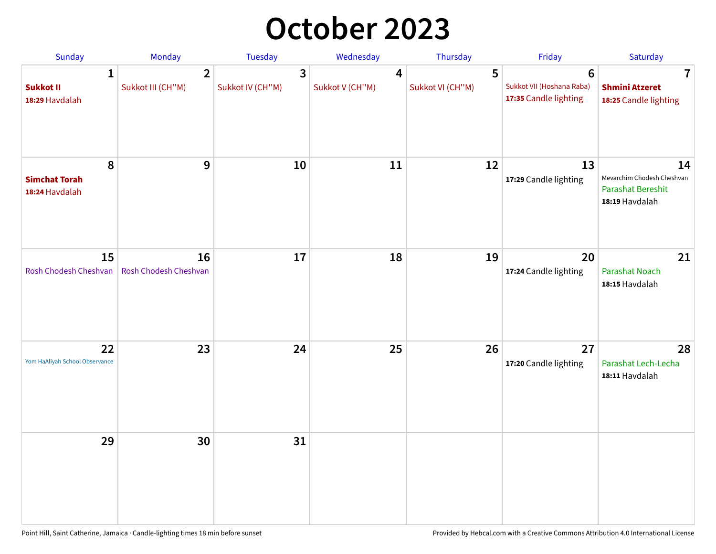## **October 2023**

| Sunday                                             | <b>Monday</b>                       | <b>Tuesday</b>        | Wednesday            | Thursday              | Friday                                                               | Saturday                                                                       |
|----------------------------------------------------|-------------------------------------|-----------------------|----------------------|-----------------------|----------------------------------------------------------------------|--------------------------------------------------------------------------------|
| $\mathbf{1}$<br><b>Sukkot II</b><br>18:29 Havdalah | $\overline{2}$<br>Sukkot III (CH"M) | 3<br>Sukkot IV (CH"M) | 4<br>Sukkot V (CH"M) | 5<br>Sukkot VI (CH"M) | $6\phantom{1}$<br>Sukkot VII (Hoshana Raba)<br>17:35 Candle lighting | 7<br><b>Shmini Atzeret</b><br>18:25 Candle lighting                            |
| 8<br><b>Simchat Torah</b><br>18:24 Havdalah        | 9                                   | 10                    | 11                   | 12                    | 13<br>17:29 Candle lighting                                          | 14<br>Mevarchim Chodesh Cheshvan<br><b>Parashat Bereshit</b><br>18:19 Havdalah |
| 15<br>Rosh Chodesh Cheshvan                        | 16<br>Rosh Chodesh Cheshvan         | 17                    | 18                   | 19                    | 20<br>17:24 Candle lighting                                          | 21<br>Parashat Noach<br>18:15 Havdalah                                         |
| 22<br>Yom HaAliyah School Observance               | 23                                  | 24                    | 25                   | 26                    | 27<br>17:20 Candle lighting                                          | 28<br>Parashat Lech-Lecha<br>18:11 Havdalah                                    |
| 29                                                 | 30                                  | 31                    |                      |                       |                                                                      |                                                                                |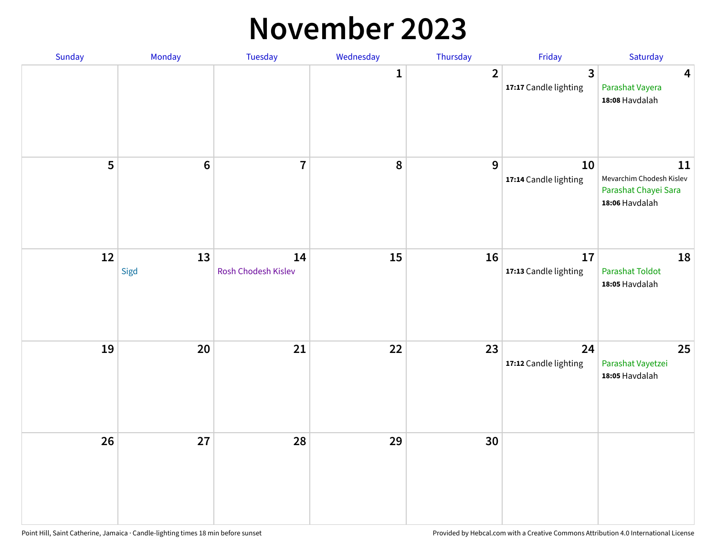#### **November 2023**

| Sunday | Monday     | Tuesday                   | Wednesday    | Thursday       | Friday                                  | Saturday                                                                 |
|--------|------------|---------------------------|--------------|----------------|-----------------------------------------|--------------------------------------------------------------------------|
|        |            |                           | $\mathbf{1}$ | $\overline{2}$ | $\overline{3}$<br>17:17 Candle lighting | $\overline{\mathbf{4}}$<br>Parashat Vayera<br>18:08 Havdalah             |
| 5      | $\bf 6$    | $\overline{7}$            | ${\bf 8}$    | 9              | 10<br>17:14 Candle lighting             | 11<br>Mevarchim Chodesh Kislev<br>Parashat Chayei Sara<br>18:06 Havdalah |
| 12     | 13<br>Sigd | 14<br>Rosh Chodesh Kislev | 15           | 16             | 17<br>17:13 Candle lighting             | 18<br><b>Parashat Toldot</b><br>18:05 Havdalah                           |
| 19     | 20         | 21                        | 22           | 23             | 24<br>17:12 Candle lighting             | 25<br>Parashat Vayetzei<br>18:05 Havdalah                                |
| 26     | 27         | 28                        | 29           | 30             |                                         |                                                                          |